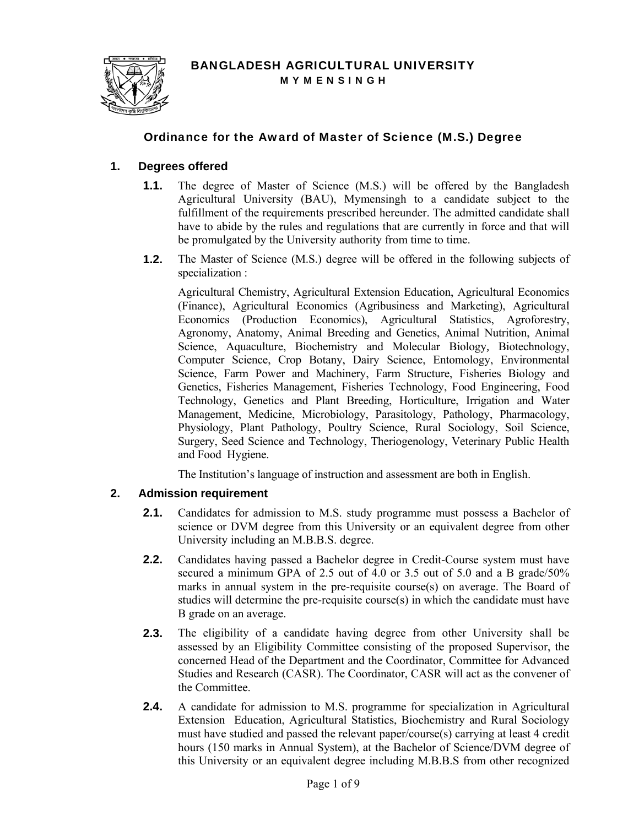

# Ordinance for the Award of Master of Science (M.S.) Degree

## **1. Degrees offered**

- **1.1.** The degree of Master of Science (M.S.) will be offered by the Bangladesh Agricultural University (BAU), Mymensingh to a candidate subject to the fulfillment of the requirements prescribed hereunder. The admitted candidate shall have to abide by the rules and regulations that are currently in force and that will be promulgated by the University authority from time to time.
- **1.2.** The Master of Science (M.S.) degree will be offered in the following subjects of specialization :

Agricultural Chemistry, Agricultural Extension Education, Agricultural Economics (Finance), Agricultural Economics (Agribusiness and Marketing), Agricultural Economics (Production Economics), Agricultural Statistics, Agroforestry, Agronomy, Anatomy, Animal Breeding and Genetics, Animal Nutrition, Animal Science, Aquaculture, Biochemistry and Molecular Biology*,* Biotechnology, Computer Science, Crop Botany, Dairy Science, Entomology, Environmental Science, Farm Power and Machinery, Farm Structure, Fisheries Biology and Genetics, Fisheries Management, Fisheries Technology, Food Engineering, Food Technology, Genetics and Plant Breeding, Horticulture, Irrigation and Water Management, Medicine, Microbiology, Parasitology, Pathology, Pharmacology, Physiology, Plant Pathology, Poultry Science, Rural Sociology, Soil Science, Surgery, Seed Science and Technology, Theriogenology, Veterinary Public Health and Food Hygiene.

The Institution's language of instruction and assessment are both in English.

## **2. Admission requirement**

- **2.1.** Candidates for admission to M.S. study programme must possess a Bachelor of science or DVM degree from this University or an equivalent degree from other University including an M.B.B.S. degree.
- **2.2.** Candidates having passed a Bachelor degree in Credit-Course system must have secured a minimum GPA of 2.5 out of 4.0 or 3.5 out of 5.0 and a B grade/50% marks in annual system in the pre-requisite course(s) on average. The Board of studies will determine the pre-requisite course(s) in which the candidate must have B grade on an average.
- **2.3.** The eligibility of a candidate having degree from other University shall be assessed by an Eligibility Committee consisting of the proposed Supervisor, the concerned Head of the Department and the Coordinator, Committee for Advanced Studies and Research (CASR). The Coordinator, CASR will act as the convener of the Committee.
- **2.4.** A candidate for admission to M.S. programme for specialization in Agricultural Extension Education, Agricultural Statistics, Biochemistry and Rural Sociology must have studied and passed the relevant paper/course(s) carrying at least 4 credit hours (150 marks in Annual System), at the Bachelor of Science/DVM degree of this University or an equivalent degree including M.B.B.S from other recognized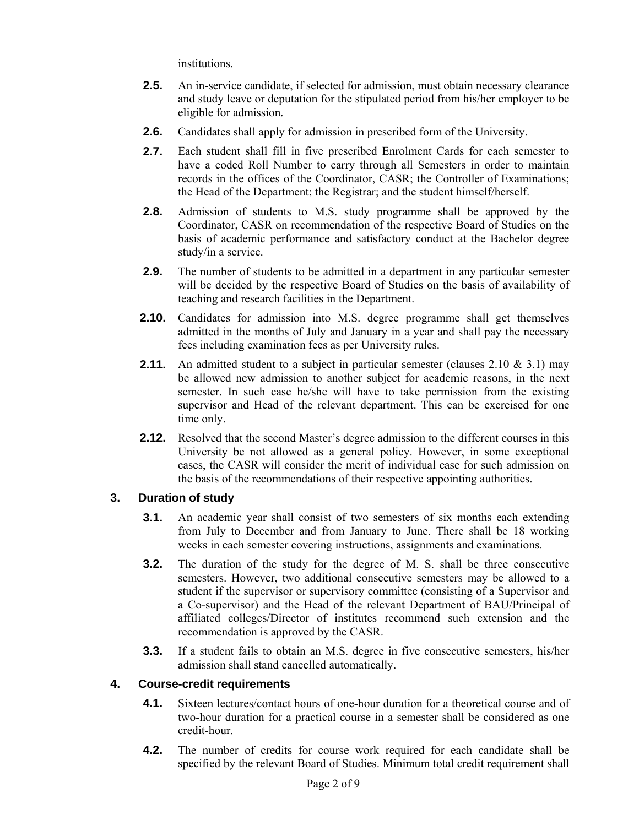institutions.

- **2.5.** An in-service candidate, if selected for admission, must obtain necessary clearance and study leave or deputation for the stipulated period from his/her employer to be eligible for admission*.*
- **2.6.** Candidates shall apply for admission in prescribed form of the University.
- **2.7.** Each student shall fill in five prescribed Enrolment Cards for each semester to have a coded Roll Number to carry through all Semesters in order to maintain records in the offices of the Coordinator, CASR; the Controller of Examinations; the Head of the Department; the Registrar; and the student himself/herself.
- **2.8.** Admission of students to M.S. study programme shall be approved by the Coordinator, CASR on recommendation of the respective Board of Studies on the basis of academic performance and satisfactory conduct at the Bachelor degree study/in a service.
- **2.9.** The number of students to be admitted in a department in any particular semester will be decided by the respective Board of Studies on the basis of availability of teaching and research facilities in the Department.
- **2.10.** Candidates for admission into M.S. degree programme shall get themselves admitted in the months of July and January in a year and shall pay the necessary fees including examination fees as per University rules.
- **2.11.** An admitted student to a subject in particular semester (clauses 2.10 & 3.1) may be allowed new admission to another subject for academic reasons, in the next semester. In such case he/she will have to take permission from the existing supervisor and Head of the relevant department. This can be exercised for one time only.
- **2.12.** Resolved that the second Master's degree admission to the different courses in this University be not allowed as a general policy. However, in some exceptional cases, the CASR will consider the merit of individual case for such admission on the basis of the recommendations of their respective appointing authorities.

## **3. Duration of study**

- **3.1.** An academic year shall consist of two semesters of six months each extending from July to December and from January to June. There shall be 18 working weeks in each semester covering instructions, assignments and examinations.
- **3.2.** The duration of the study for the degree of M. S. shall be three consecutive semesters. However, two additional consecutive semesters may be allowed to a student if the supervisor or supervisory committee (consisting of a Supervisor and a Co-supervisor) and the Head of the relevant Department of BAU/Principal of affiliated colleges/Director of institutes recommend such extension and the recommendation is approved by the CASR.
- **3.3.** If a student fails to obtain an M.S. degree in five consecutive semesters, his/her admission shall stand cancelled automatically.

## **4. Course-credit requirements**

- **4.1.** Sixteen lectures/contact hours of one-hour duration for a theoretical course and of two-hour duration for a practical course in a semester shall be considered as one credit-hour.
- **4.2.** The number of credits for course work required for each candidate shall be specified by the relevant Board of Studies. Minimum total credit requirement shall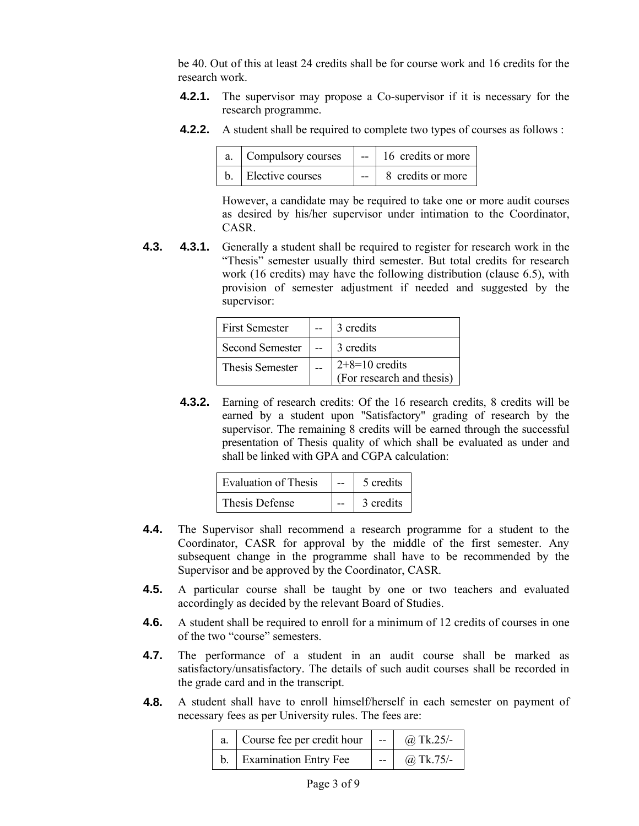be 40. Out of this at least 24 credits shall be for course work and 16 credits for the research work.

- **4.2.1.** The supervisor may propose a Co-supervisor if it is necessary for the research programme.
- **4.2.2.** A student shall be required to complete two types of courses as follows :

| a. Compulsory courses | $-$ 16 credits or more |
|-----------------------|------------------------|
| b. Elective courses   | 8 credits or more      |

However, a candidate may be required to take one or more audit courses as desired by his/her supervisor under intimation to the Coordinator, CASR.

**4.3. 4.3.1.** Generally a student shall be required to register for research work in the "Thesis" semester usually third semester. But total credits for research work (16 credits) may have the following distribution (clause 6.5), with provision of semester adjustment if needed and suggested by the supervisor:

| <b>First Semester</b>  | 3 credits                                     |
|------------------------|-----------------------------------------------|
| <b>Second Semester</b> | 1 3 credits                                   |
| Thesis Semester        | $2+8=10$ credits<br>(For research and thesis) |

**4.3.2.** Earning of research credits: Of the 16 research credits, 8 credits will be earned by a student upon "Satisfactory" grading of research by the supervisor. The remaining 8 credits will be earned through the successful presentation of Thesis quality of which shall be evaluated as under and shall be linked with GPA and CGPA calculation:

| Evaluation of Thesis | 5 credits |
|----------------------|-----------|
| Thesis Defense       | 3 credits |

- **4.4.** The Supervisor shall recommend a research programme for a student to the Coordinator, CASR for approval by the middle of the first semester. Any subsequent change in the programme shall have to be recommended by the Supervisor and be approved by the Coordinator, CASR.
- **4.5.** A particular course shall be taught by one or two teachers and evaluated accordingly as decided by the relevant Board of Studies.
- **4.6.** A student shall be required to enroll for a minimum of 12 credits of courses in one of the two "course" semesters.
- **4.7.** The performance of a student in an audit course shall be marked as satisfactory/unsatisfactory. The details of such audit courses shall be recorded in the grade card and in the transcript.
- **4.8.** A student shall have to enroll himself/herself in each semester on payment of necessary fees as per University rules. The fees are:

| a. Course fee per credit hour | المنافس والمستنب | $(a)$ Tk.25/- |
|-------------------------------|------------------|---------------|
| <b>Examination Entry Fee</b>  | $-$              | $(a)$ Tk.75/- |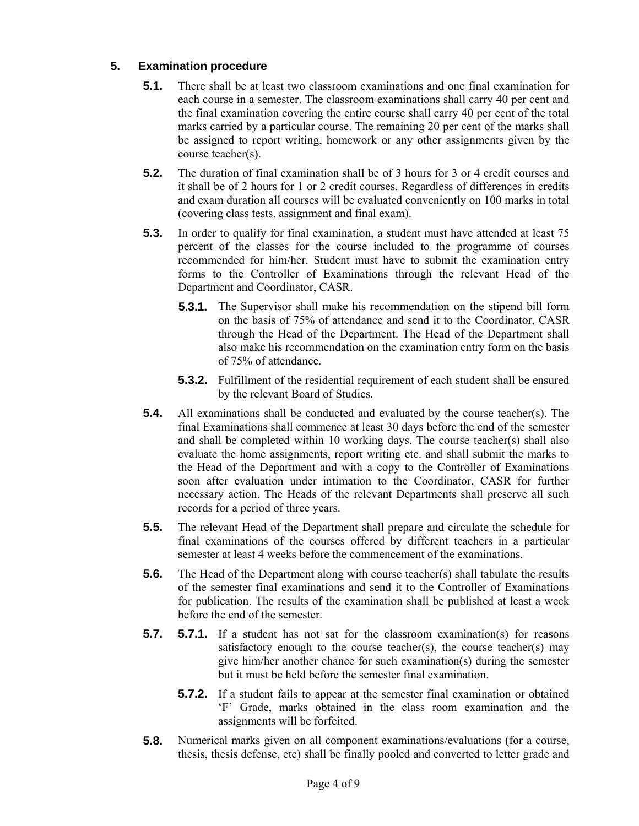# **5. Examination procedure**

- **5.1.** There shall be at least two classroom examinations and one final examination for each course in a semester. The classroom examinations shall carry 40 per cent and the final examination covering the entire course shall carry 40 per cent of the total marks carried by a particular course. The remaining 20 per cent of the marks shall be assigned to report writing, homework or any other assignments given by the course teacher(s).
- **5.2.** The duration of final examination shall be of 3 hours for 3 or 4 credit courses and it shall be of 2 hours for 1 or 2 credit courses. Regardless of differences in credits and exam duration all courses will be evaluated conveniently on 100 marks in total (covering class tests. assignment and final exam).
- **5.3.** In order to qualify for final examination, a student must have attended at least 75 percent of the classes for the course included to the programme of courses recommended for him/her. Student must have to submit the examination entry forms to the Controller of Examinations through the relevant Head of the Department and Coordinator, CASR.
	- **5.3.1.** The Supervisor shall make his recommendation on the stipend bill form on the basis of 75% of attendance and send it to the Coordinator, CASR through the Head of the Department. The Head of the Department shall also make his recommendation on the examination entry form on the basis of 75% of attendance.
	- **5.3.2.** Fulfillment of the residential requirement of each student shall be ensured by the relevant Board of Studies.
- **5.4.** All examinations shall be conducted and evaluated by the course teacher(s). The final Examinations shall commence at least 30 days before the end of the semester and shall be completed within 10 working days. The course teacher(s) shall also evaluate the home assignments, report writing etc. and shall submit the marks to the Head of the Department and with a copy to the Controller of Examinations soon after evaluation under intimation to the Coordinator, CASR for further necessary action. The Heads of the relevant Departments shall preserve all such records for a period of three years.
- **5.5.** The relevant Head of the Department shall prepare and circulate the schedule for final examinations of the courses offered by different teachers in a particular semester at least 4 weeks before the commencement of the examinations.
- **5.6.** The Head of the Department along with course teacher(s) shall tabulate the results of the semester final examinations and send it to the Controller of Examinations for publication. The results of the examination shall be published at least a week before the end of the semester.
- **5.7. 5.7.1.** If a student has not sat for the classroom examination(s) for reasons satisfactory enough to the course teacher(s), the course teacher(s) may give him/her another chance for such examination(s) during the semester but it must be held before the semester final examination.
	- **5.7.2.** If a student fails to appear at the semester final examination or obtained 'F' Grade, marks obtained in the class room examination and the assignments will be forfeited.
- **5.8.** Numerical marks given on all component examinations/evaluations (for a course, thesis, thesis defense, etc) shall be finally pooled and converted to letter grade and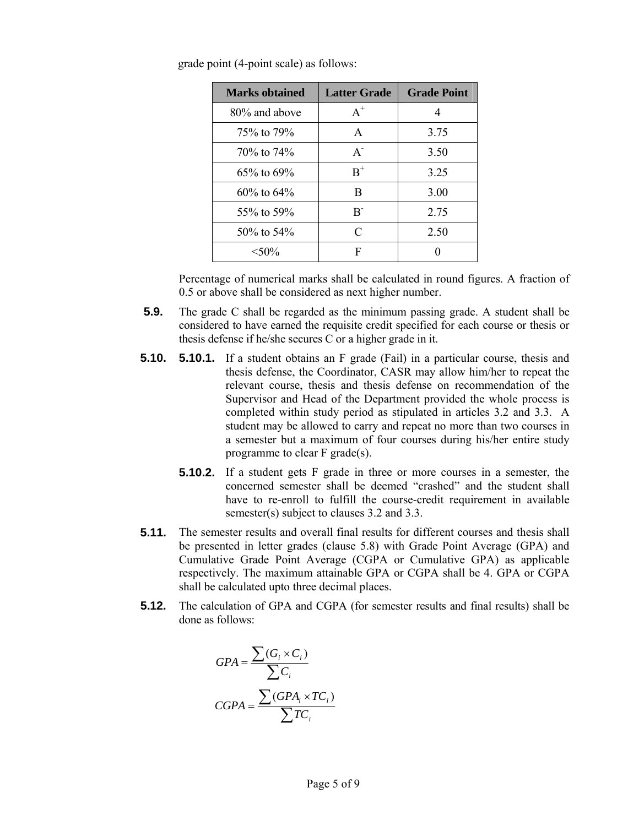| <b>Marks obtained</b> | <b>Latter Grade</b> | <b>Grade Point</b> |
|-----------------------|---------------------|--------------------|
| 80% and above         | $A^+$               | 4                  |
| 75\% to 79\%          | $\mathsf{A}$        | 3.75               |
| $70\%$ to $74\%$      | $A^{-}$             | 3.50               |
| $65\%$ to $69\%$      | $B^+$               | 3.25               |
| $60\%$ to $64\%$      | R                   | 3.00               |
| 55\% to 59\%          | $R^{-}$             | 2.75               |
| $50\%$ to $54\%$      | C                   | 2.50               |
| $< 50\%$              | F                   |                    |

grade point (4-point scale) as follows:

Percentage of numerical marks shall be calculated in round figures. A fraction of 0.5 or above shall be considered as next higher number.

- **5.9.** The grade C shall be regarded as the minimum passing grade. A student shall be considered to have earned the requisite credit specified for each course or thesis or thesis defense if he/she secures C or a higher grade in it.
- **5.10. 5.10.1.** If a student obtains an F grade (Fail) in a particular course, thesis and thesis defense, the Coordinator, CASR may allow him/her to repeat the relevant course, thesis and thesis defense on recommendation of the Supervisor and Head of the Department provided the whole process is completed within study period as stipulated in articles 3.2 and 3.3. A student may be allowed to carry and repeat no more than two courses in a semester but a maximum of four courses during his/her entire study programme to clear F grade(s).
	- **5.10.2.** If a student gets F grade in three or more courses in a semester, the concerned semester shall be deemed "crashed" and the student shall have to re-enroll to fulfill the course-credit requirement in available semester(s) subject to clauses 3.2 and 3.3.
- **5.11.** The semester results and overall final results for different courses and thesis shall be presented in letter grades (clause 5.8) with Grade Point Average (GPA) and Cumulative Grade Point Average (CGPA or Cumulative GPA) as applicable respectively. The maximum attainable GPA or CGPA shall be 4. GPA or CGPA shall be calculated upto three decimal places.
- **5.12.** The calculation of GPA and CGPA (for semester results and final results) shall be done as follows:

$$
GPA = \frac{\sum(G_i \times C_i)}{\sum C_i}
$$

$$
CGPA = \frac{\sum(GPA_i \times TC_i)}{\sum TC_i}
$$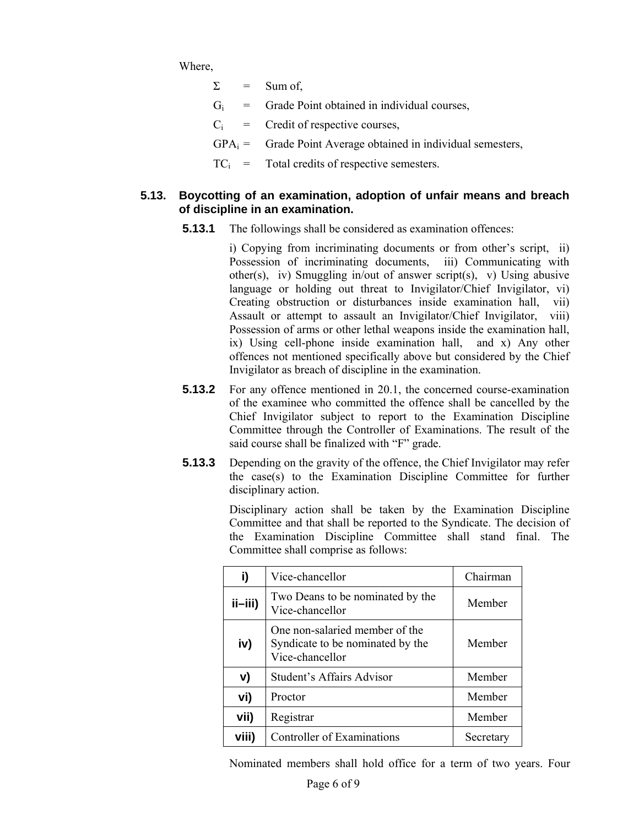Where,

- $\Sigma$  = Sum of,
- $G_i$  = Grade Point obtained in individual courses,
- $C_i$  = Credit of respective courses,
- $GPA_i =$  Grade Point Average obtained in individual semesters,
- $TC_i$  = Total credits of respective semesters.

## **5.13. Boycotting of an examination, adoption of unfair means and breach of discipline in an examination.**

**5.13.1** The followings shall be considered as examination offences:

i) Copying from incriminating documents or from other's script, ii) Possession of incriminating documents, iii) Communicating with other(s), iv) Smuggling in/out of answer script(s), v) Using abusive language or holding out threat to Invigilator/Chief Invigilator, vi) Creating obstruction or disturbances inside examination hall, vii) Assault or attempt to assault an Invigilator/Chief Invigilator, viii) Possession of arms or other lethal weapons inside the examination hall, ix) Using cell-phone inside examination hall, and x) Any other offences not mentioned specifically above but considered by the Chief Invigilator as breach of discipline in the examination.

- **5.13.2** For any offence mentioned in 20.1, the concerned course-examination of the examinee who committed the offence shall be cancelled by the Chief Invigilator subject to report to the Examination Discipline Committee through the Controller of Examinations. The result of the said course shall be finalized with "F" grade.
- **5.13.3** Depending on the gravity of the offence, the Chief Invigilator may refer the case(s) to the Examination Discipline Committee for further disciplinary action.

Disciplinary action shall be taken by the Examination Discipline Committee and that shall be reported to the Syndicate. The decision of the Examination Discipline Committee shall stand final. The Committee shall comprise as follows:

| i)          | Vice-chancellor                                                                       | Chairman  |
|-------------|---------------------------------------------------------------------------------------|-----------|
| $i$ ii-iii) | Two Deans to be nominated by the<br>Vice-chancellor                                   | Member    |
| iv)         | One non-salaried member of the<br>Syndicate to be nominated by the<br>Vice-chancellor | Member    |
| v)          | Student's Affairs Advisor                                                             | Member    |
| vi)         | Proctor                                                                               | Member    |
| vii)        | Registrar                                                                             | Member    |
| viii)       | Controller of Examinations                                                            | Secretary |

Nominated members shall hold office for a term of two years. Four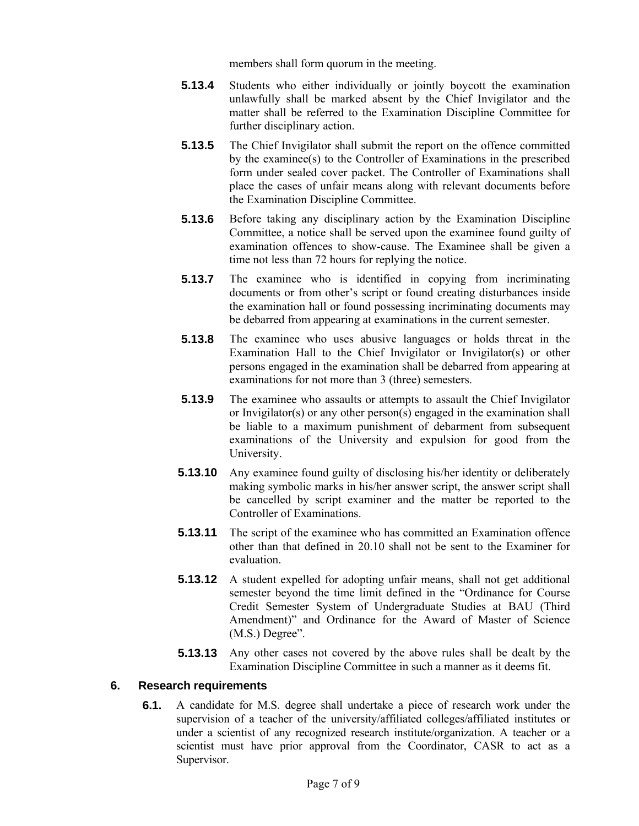members shall form quorum in the meeting.

- **5.13.4** Students who either individually or jointly boycott the examination unlawfully shall be marked absent by the Chief Invigilator and the matter shall be referred to the Examination Discipline Committee for further disciplinary action.
- **5.13.5** The Chief Invigilator shall submit the report on the offence committed by the examinee(s) to the Controller of Examinations in the prescribed form under sealed cover packet. The Controller of Examinations shall place the cases of unfair means along with relevant documents before the Examination Discipline Committee.
- **5.13.6** Before taking any disciplinary action by the Examination Discipline Committee, a notice shall be served upon the examinee found guilty of examination offences to show-cause. The Examinee shall be given a time not less than 72 hours for replying the notice.
- **5.13.7** The examinee who is identified in copying from incriminating documents or from other's script or found creating disturbances inside the examination hall or found possessing incriminating documents may be debarred from appearing at examinations in the current semester.
- **5.13.8** The examinee who uses abusive languages or holds threat in the Examination Hall to the Chief Invigilator or Invigilator(s) or other persons engaged in the examination shall be debarred from appearing at examinations for not more than 3 (three) semesters.
- **5.13.9** The examinee who assaults or attempts to assault the Chief Invigilator or Invigilator(s) or any other person(s) engaged in the examination shall be liable to a maximum punishment of debarment from subsequent examinations of the University and expulsion for good from the University.
- **5.13.10** Any examinee found guilty of disclosing his/her identity or deliberately making symbolic marks in his/her answer script, the answer script shall be cancelled by script examiner and the matter be reported to the Controller of Examinations.
- **5.13.11** The script of the examinee who has committed an Examination offence other than that defined in 20.10 shall not be sent to the Examiner for evaluation.
- **5.13.12** A student expelled for adopting unfair means, shall not get additional semester beyond the time limit defined in the "Ordinance for Course Credit Semester System of Undergraduate Studies at BAU (Third Amendment)" and Ordinance for the Award of Master of Science (M.S.) Degree".
- **5.13.13** Any other cases not covered by the above rules shall be dealt by the Examination Discipline Committee in such a manner as it deems fit.

## **6. Research requirements**

**6.1.** A candidate for M.S. degree shall undertake a piece of research work under the supervision of a teacher of the university/affiliated colleges/affiliated institutes or under a scientist of any recognized research institute/organization. A teacher or a scientist must have prior approval from the Coordinator, CASR to act as a Supervisor.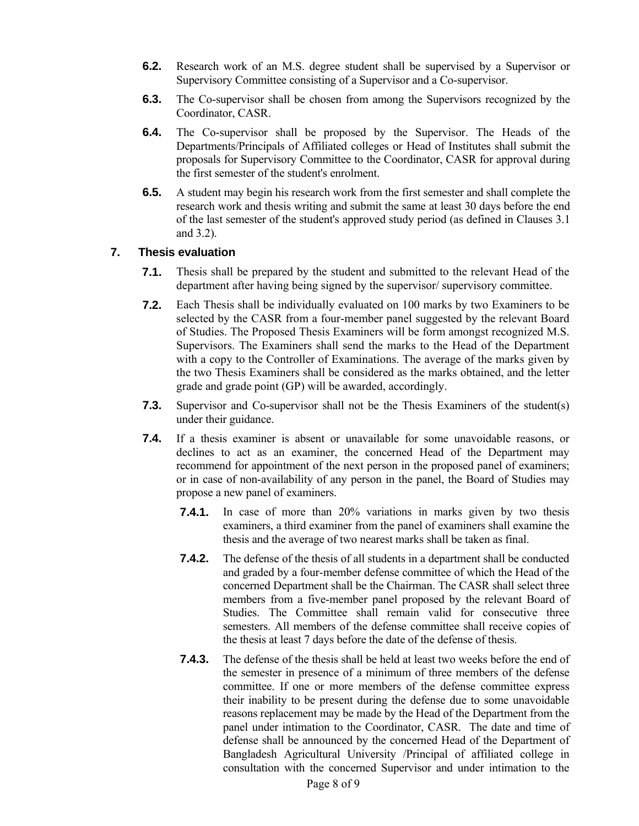- **6.2.** Research work of an M.S. degree student shall be supervised by a Supervisor or Supervisory Committee consisting of a Supervisor and a Co-supervisor.
- **6.3.** The Co-supervisor shall be chosen from among the Supervisors recognized by the Coordinator, CASR.
- **6.4.** The Co-supervisor shall be proposed by the Supervisor. The Heads of the Departments/Principals of Affiliated colleges or Head of Institutes shall submit the proposals for Supervisory Committee to the Coordinator, CASR for approval during the first semester of the student's enrolment.
- **6.5.** A student may begin his research work from the first semester and shall complete the research work and thesis writing and submit the same at least 30 days before the end of the last semester of the student's approved study period (as defined in Clauses 3.1 and 3.2).

## **7. Thesis evaluation**

- **7.1.** Thesis shall be prepared by the student and submitted to the relevant Head of the department after having being signed by the supervisor/ supervisory committee.
- **7.2.** Each Thesis shall be individually evaluated on 100 marks by two Examiners to be selected by the CASR from a four-member panel suggested by the relevant Board of Studies. The Proposed Thesis Examiners will be form amongst recognized M.S. Supervisors. The Examiners shall send the marks to the Head of the Department with a copy to the Controller of Examinations. The average of the marks given by the two Thesis Examiners shall be considered as the marks obtained, and the letter grade and grade point (GP) will be awarded, accordingly.
- **7.3.** Supervisor and Co-supervisor shall not be the Thesis Examiners of the student(s) under their guidance.
- **7.4.** If a thesis examiner is absent or unavailable for some unavoidable reasons, or declines to act as an examiner, the concerned Head of the Department may recommend for appointment of the next person in the proposed panel of examiners; or in case of non-availability of any person in the panel, the Board of Studies may propose a new panel of examiners.
	- **7.4.1.** In case of more than 20% variations in marks given by two thesis examiners, a third examiner from the panel of examiners shall examine the thesis and the average of two nearest marks shall be taken as final.
	- **7.4.2.** The defense of the thesis of all students in a department shall be conducted and graded by a four-member defense committee of which the Head of the concerned Department shall be the Chairman. The CASR shall select three members from a five-member panel proposed by the relevant Board of Studies. The Committee shall remain valid for consecutive three semesters. All members of the defense committee shall receive copies of the thesis at least 7 days before the date of the defense of thesis.
	- **7.4.3.** The defense of the thesis shall be held at least two weeks before the end of the semester in presence of a minimum of three members of the defense committee. If one or more members of the defense committee express their inability to be present during the defense due to some unavoidable reasons replacement may be made by the Head of the Department from the panel under intimation to the Coordinator, CASR. The date and time of defense shall be announced by the concerned Head of the Department of Bangladesh Agricultural University /Principal of affiliated college in consultation with the concerned Supervisor and under intimation to the